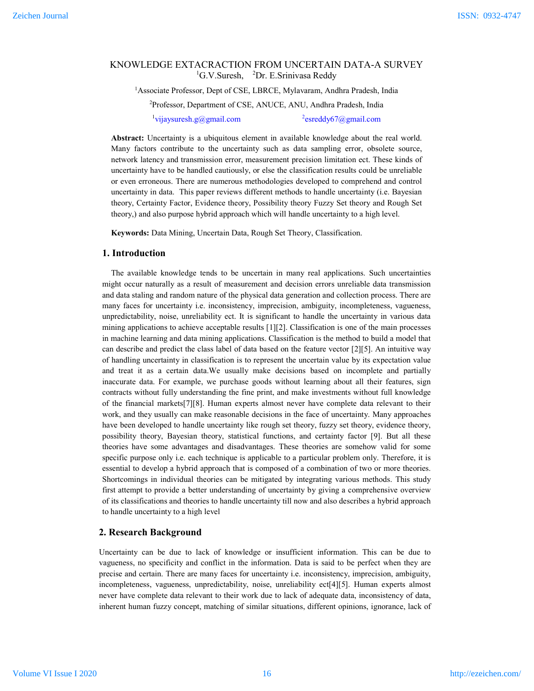# KNOWLEDGE EXTACRACTION FROM UNCERTAIN DATA-A SURVEY <sup>1</sup>G.V.Suresh, <sup>2</sup>Dr. E.Srinivasa Reddy

<sup>1</sup> Associate Professor, Dept of CSE, LBRCE, Mylavaram, Andhra Pradesh, India

2 Professor, Department of CSE, ANUCE, ANU, Andhra Pradesh, India

<sup>1</sup>vijaysuresh.g@gmail.com <sup>2</sup>

 $e$ <sup>2</sup>esreddy67@gmail.com

**Abstract:** Uncertainty is a ubiquitous element in available knowledge about the real world. Many factors contribute to the uncertainty such as data sampling error, obsolete source, network latency and transmission error, measurement precision limitation ect. These kinds of uncertainty have to be handled cautiously, or else the classification results could be unreliable or even erroneous. There are numerous methodologies developed to comprehend and control uncertainty in data. This paper reviews different methods to handle uncertainty (i.e. Bayesian theory, Certainty Factor, Evidence theory, Possibility theory Fuzzy Set theory and Rough Set theory,) and also purpose hybrid approach which will handle uncertainty to a high level.

**Keywords:** Data Mining, Uncertain Data, Rough Set Theory, Classification.

## **1. Introduction**

The available knowledge tends to be uncertain in many real applications. Such uncertainties might occur naturally as a result of measurement and decision errors unreliable data transmission and data staling and random nature of the physical data generation and collection process. There are many faces for uncertainty i.e. inconsistency, imprecision, ambiguity, incompleteness, vagueness, unpredictability, noise, unreliability ect. It is significant to handle the uncertainty in various data mining applications to achieve acceptable results [1][2]. Classification is one of the main processes in machine learning and data mining applications. Classification is the method to build a model that can describe and predict the class label of data based on the feature vector [2][5]. An intuitive way of handling uncertainty in classification is to represent the uncertain value by its expectation value and treat it as a certain data.We usually make decisions based on incomplete and partially inaccurate data. For example, we purchase goods without learning about all their features, sign contracts without fully understanding the fine print, and make investments without full knowledge of the financial markets[7][8]. Human experts almost never have complete data relevant to their work, and they usually can make reasonable decisions in the face of uncertainty. Many approaches have been developed to handle uncertainty like rough set theory, fuzzy set theory, evidence theory, possibility theory, Bayesian theory, statistical functions, and certainty factor [9]. But all these theories have some advantages and disadvantages. These theories are somehow valid for some specific purpose only i.e. each technique is applicable to a particular problem only. Therefore, it is essential to develop a hybrid approach that is composed of a combination of two or more theories. Shortcomings in individual theories can be mitigated by integrating various methods. This study first attempt to provide a better understanding of uncertainty by giving a comprehensive overview of its classifications and theories to handle uncertainty till now and also describes a hybrid approach to handle uncertainty to a high level

## **2. Research Background**

Uncertainty can be due to lack of knowledge or insufficient information. This can be due to vagueness, no specificity and conflict in the information. Data is said to be perfect when they are precise and certain. There are many faces for uncertainty i.e. inconsistency, imprecision, ambiguity, incompleteness, vagueness, unpredictability, noise, unreliability ect[4][5]. Human experts almost never have complete data relevant to their work due to lack of adequate data, inconsistency of data, inherent human fuzzy concept, matching of similar situations, different opinions, ignorance, lack of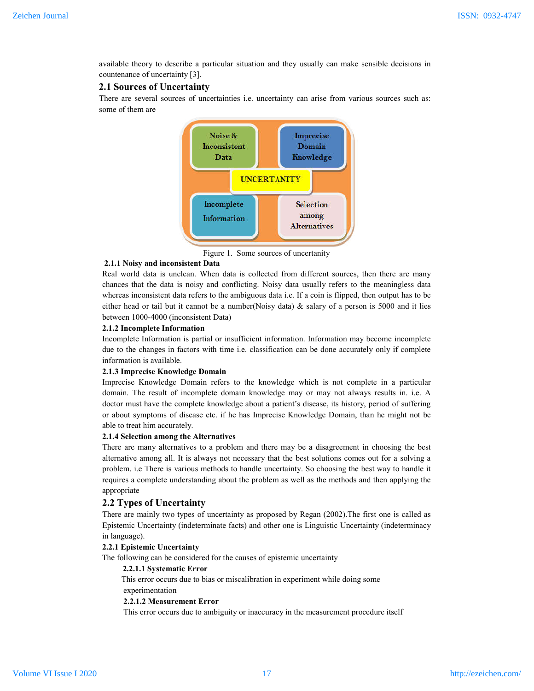available theory to describe a particular situation and they usually can make sensible decisions in countenance of uncertainty [3].

# **2.1 Sources of Uncertainty**

There are several sources of uncertainties i.e. uncertainty can arise from various sources such as: some of them are



Figure 1. Some sources of uncertanity

### **2.1.1 Noisy and inconsistent Data**

Real world data is unclean. When data is collected from different sources, then there are many chances that the data is noisy and conflicting. Noisy data usually refers to the meaningless data whereas inconsistent data refers to the ambiguous data i.e. If a coin is flipped, then output has to be either head or tail but it cannot be a number(Noisy data)  $\&$  salary of a person is 5000 and it lies between 1000-4000 (inconsistent Data)

#### **2.1.2 Incomplete Information**

Incomplete Information is partial or insufficient information. Information may become incomplete due to the changes in factors with time i.e. classification can be done accurately only if complete information is available.

#### **2.1.3 Imprecise Knowledge Domain**

Imprecise Knowledge Domain refers to the knowledge which is not complete in a particular domain. The result of incomplete domain knowledge may or may not always results in. i.e. A doctor must have the complete knowledge about a patient's disease, its history, period of suffering or about symptoms of disease etc. if he has Imprecise Knowledge Domain, than he might not be able to treat him accurately.

## **2.1.4 Selection among the Alternatives**

There are many alternatives to a problem and there may be a disagreement in choosing the best alternative among all. It is always not necessary that the best solutions comes out for a solving a problem. i.e There is various methods to handle uncertainty. So choosing the best way to handle it requires a complete understanding about the problem as well as the methods and then applying the appropriate

### **2.2 Types of Uncertainty**

There are mainly two types of uncertainty as proposed by Regan (2002).The first one is called as Epistemic Uncertainty (indeterminate facts) and other one is Linguistic Uncertainty (indeterminacy in language).

### **2.2.1 Epistemic Uncertainty**

The following can be considered for the causes of epistemic uncertainty

#### **2.2.1.1 Systematic Error**

 This error occurs due to bias or miscalibration in experiment while doing some experimentation

#### **2.2.1.2 Measurement Error**

This error occurs due to ambiguity or inaccuracy in the measurement procedure itself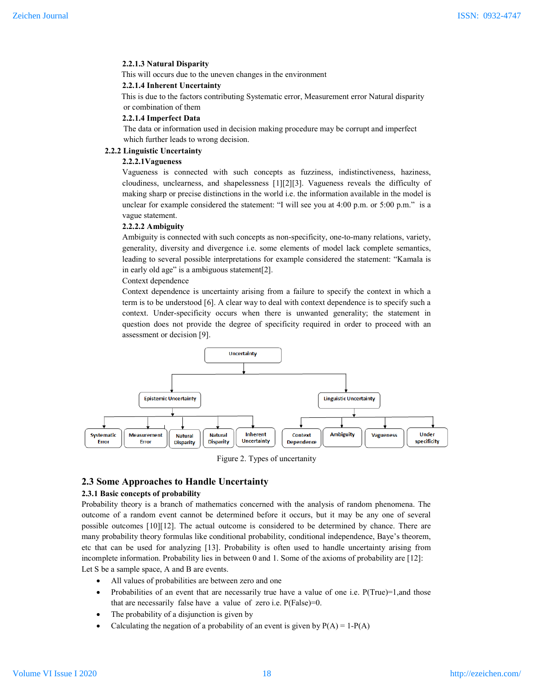#### **2.2.1.3 Natural Disparity**

This will occurs due to the uneven changes in the environment

#### **2.2.1.4 Inherent Uncertainty**

 This is due to the factors contributing Systematic error, Measurement error Natural disparity or combination of them

#### **2.2.1.4 Imperfect Data**

 The data or information used in decision making procedure may be corrupt and imperfect which further leads to wrong decision.

## **2.2.2 Linguistic Uncertainty**

### **2.2.2.1Vagueness**

Vagueness is connected with such concepts as fuzziness, indistinctiveness, haziness, cloudiness, unclearness, and shapelessness [1][2][3]. Vagueness reveals the difficulty of making sharp or precise distinctions in the world i.e. the information available in the model is unclear for example considered the statement: "I will see you at  $4:00$  p.m. or  $5:00$  p.m." is a vague statement.

#### **2.2.2.2 Ambiguity**

Ambiguity is connected with such concepts as non-specificity, one-to-many relations, variety, generality, diversity and divergence i.e. some elements of model lack complete semantics, leading to several possible interpretations for example considered the statement: "Kamala is in early old age" is a ambiguous statement[2].

Context dependence

Context dependence is uncertainty arising from a failure to specify the context in which a term is to be understood [6]. A clear way to deal with context dependence is to specify such a context. Under-specificity occurs when there is unwanted generality; the statement in question does not provide the degree of specificity required in order to proceed with an assessment or decision [9].



Figure 2. Types of uncertanity

### **2.3 Some Approaches to Handle Uncertainty**

### **2.3.1 Basic concepts of probability**

Probability theory is a branch of mathematics concerned with the analysis of random phenomena. The outcome of a random event cannot be determined before it occurs, but it may be any one of several possible outcomes [10][12]. The actual outcome is considered to be determined by chance. There are many probability theory formulas like conditional probability, conditional independence, Baye's theorem, etc that can be used for analyzing [13]. Probability is often used to handle uncertainty arising from incomplete information. Probability lies in between 0 and 1. Some of the axioms of probability are [12]: Let S be a sample space, A and B are events.

- All values of probabilities are between zero and one
- Probabilities of an event that are necessarily true have a value of one i.e.  $P(True)=1$ , and those that are necessarily false have a value of zero i.e. P(False)=0.
- The probability of a disjunction is given by
- Calculating the negation of a probability of an event is given by  $P(A) = 1-P(A)$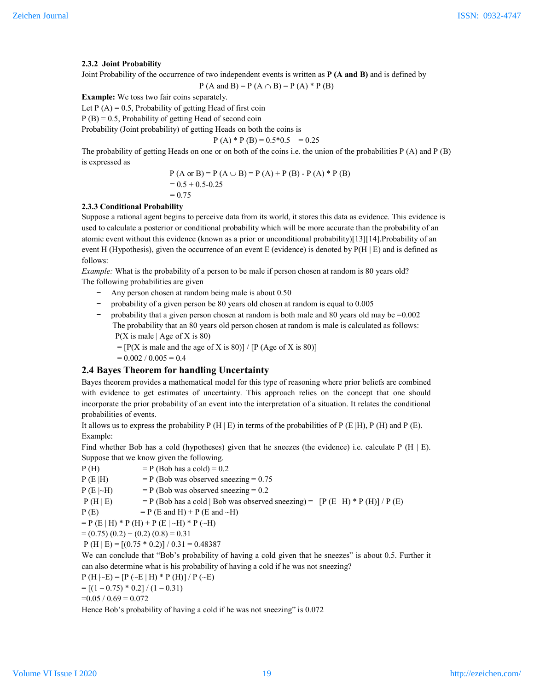## **2.3.2 Joint Probability**

Joint Probability of the occurrence of two independent events is written as **P (A and B)** and is defined by

$$
P(A \text{ and } B) = P(A \cap B) = P(A) * P(B)
$$

**Example:** We toss two fair coins separately.

Let  $P(A) = 0.5$ , Probability of getting Head of first coin

 $P(B) = 0.5$ , Probability of getting Head of second coin

Probability (Joint probability) of getting Heads on both the coins is

$$
P(A) * P(B) = 0.5 * 0.5 = 0.25
$$

The probability of getting Heads on one or on both of the coins i.e. the union of the probabilities P (A) and P (B) is expressed as

$$
P (A or B) = P (A \cup B) = P (A) + P (B) - P (A) * P (B)
$$
  
= 0.5 + 0.5 - 0.25  
= 0.75

## **2.3.3 Conditional Probability**

Suppose a rational agent begins to perceive data from its world, it stores this data as evidence. This evidence is used to calculate a posterior or conditional probability which will be more accurate than the probability of an atomic event without this evidence (known as a prior or unconditional probability)[13][14].Probability of an event H (Hypothesis), given the occurrence of an event E (evidence) is denoted by P(H | E) and is defined as follows:

*Example:* What is the probability of a person to be male if person chosen at random is 80 years old? The following probabilities are given

- − Any person chosen at random being male is about 0.50
- − probability of a given person be 80 years old chosen at random is equal to 0.005
- − probability that a given person chosen at random is both male and 80 years old may be =0.002 The probability that an 80 years old person chosen at random is male is calculated as follows:  $P(X \text{ is male} \mid \text{Age of } X \text{ is } 80)$ 
	- $= [P(X \text{ is male and the age of } X \text{ is } 80)] / [P(A \text{ get of } X \text{ is } 80)]$

 $= 0.002 / 0.005 = 0.4$ 

## **2.4 Bayes Theorem for handling Uncertainty**

Bayes theorem provides a mathematical model for this type of reasoning where prior beliefs are combined with evidence to get estimates of uncertainty. This approach relies on the concept that one should incorporate the prior probability of an event into the interpretation of a situation. It relates the conditional probabilities of events.

It allows us to express the probability P (H | E) in terms of the probabilities of P (E |H), P (H) and P (E). Example:

Find whether Bob has a cold (hypotheses) given that he sneezes (the evidence) i.e. calculate P  $(H | E)$ . Suppose that we know given the following.

 $P(H)$  = P (Bob has a cold) = 0.2

$$
P(E|H)
$$
 =  $P(Bob was observed sneezing = 0.75$ 

$$
P(E|\sim H)
$$
 = P (Bob was observed sneezing = 0.2)

$$
P(H | E)
$$
 =  $P(Bob has a cold | Bob was observed sneezing) = [P(E | H) * P(H)] / P(E)$ 

$$
P(E) = P(E \text{ and } H) + P(E \text{ and } \sim H)
$$

$$
= P (E | H) * P (H) + P (E | ~ H) * P (~ H)
$$

 $= (0.75) (0.2) + (0.2) (0.8) = 0.31$ 

 $P (H | E) = [(0.75 * 0.2)] / 0.31 = 0.48387$ 

We can conclude that "Bob's probability of having a cold given that he sneezes" is about 0.5. Further it can also determine what is his probability of having a cold if he was not sneezing?

$$
P(H | \neg E) = [P (\neg E | H) * P(H)] / P (\neg E)
$$

 $= [(1 - 0.75) * 0.2] / (1 - 0.31)$ 

$$
=0.05 / 0.69 = 0.072
$$

Hence Bob's probability of having a cold if he was not sneezing" is 0.072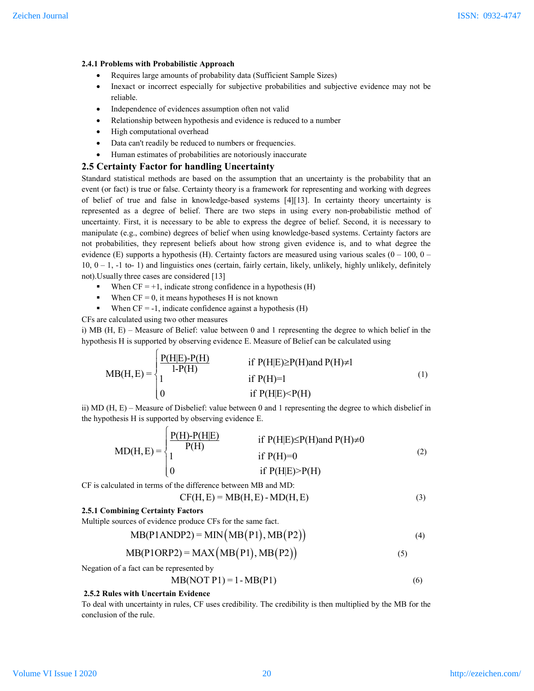## **2.4.1 Problems with Probabilistic Approach**

- Requires large amounts of probability data (Sufficient Sample Sizes)
- Inexact or incorrect especially for subjective probabilities and subjective evidence may not be reliable.
- Independence of evidences assumption often not valid
- Relationship between hypothesis and evidence is reduced to a number
- High computational overhead
- Data can't readily be reduced to numbers or frequencies.
- Human estimates of probabilities are notoriously inaccurate

## **2.5 Certainty Factor for handling Uncertainty**

Standard statistical methods are based on the assumption that an uncertainty is the probability that an event (or fact) is true or false. Certainty theory is a framework for representing and working with degrees of belief of true and false in knowledge-based systems [4][13]. In certainty theory uncertainty is represented as a degree of belief. There are two steps in using every non-probabilistic method of uncertainty. First, it is necessary to be able to express the degree of belief. Second, it is necessary to manipulate (e.g., combine) degrees of belief when using knowledge-based systems. Certainty factors are not probabilities, they represent beliefs about how strong given evidence is, and to what degree the evidence (E) supports a hypothesis (H). Certainty factors are measured using various scales ( $0 - 100$ ,  $0 10, 0 - 1, -1$  to- 1) and linguistics ones (certain, fairly certain, likely, unlikely, highly unlikely, definitely not).Usually three cases are considered [13]

- When  $CF = +1$ , indicate strong confidence in a hypothesis (H)
- When  $CF = 0$ , it means hypotheses H is not known
- When  $CF = -1$ , indicate confidence against a hypothesis  $(H)$

CFs are calculated using two other measures

i) MB (H, E) – Measure of Belief: value between 0 and 1 representing the degree to which belief in the hypothesis H is supported by observing evidence E. Measure of Belief can be calculated using

$$
MB(H, E) = \begin{cases} \frac{P(H|E)-P(H)}{1-P(H)} & \text{if } P(H|E) \ge P(H) \text{and } P(H) \ne I \\ 1 & \text{if } P(H) = 1 \\ 0 & \text{if } P(H|E) < P(H) \end{cases} \tag{1}
$$

ii) MD (H, E) – Measure of Disbelief: value between 0 and 1 representing the degree to which disbelief in the hypothesis H is supported by observing evidence E.

$$
MD(H, E) = \begin{cases} \frac{P(H) - P(H|E)}{P(H)} & \text{if } P(H|E) \le P(H) \text{and } P(H) \ne 0\\ 1 & \text{if } P(H) = 0\\ 0 & \text{if } P(H|E) > P(H) \end{cases}
$$
(2)

CF is calculated in terms of the difference between MB and MD:

$$
CF(H, E) = MB(H, E) - MD(H, E)
$$
\n(3)

#### **2.5.1 Combining Certainty Factors**

Multiple sources of evidence produce CFs for the same fact.

 $\sqrt{ }$ 

$$
MB(P1ANDP2) = MIN(MB(P1), MB(P2))
$$
\n(4)

$$
MB(P1ORP2) = MAX(MB(P1), MB(P2))
$$
\n(5)

Negation of a fact can be represented by

$$
MB(NOT P1) = 1 - MB(P1)
$$
 (6)

#### **2.5.2 Rules with Uncertain Evidence**

To deal with uncertainty in rules, CF uses credibility. The credibility is then multiplied by the MB for the conclusion of the rule.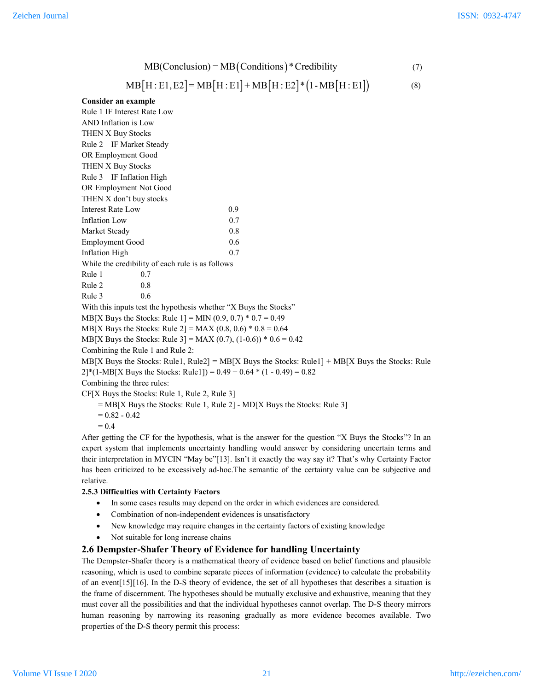$$
MB(Conclusion) = MB(Conditions) * Credibility
$$
 (7)

$$
MB[H: E1, E2] = MB[H: E1] + MB[H: E2] * (1 - MB[H: E1])
$$
\n(8)

### **Consider an example**

| Rule 1 IF Interest Rate Low                                                         |                                                                                                 |
|-------------------------------------------------------------------------------------|-------------------------------------------------------------------------------------------------|
| AND Inflation is Low                                                                |                                                                                                 |
| THEN X Buy Stocks                                                                   |                                                                                                 |
| Rule 2 IF Market Steady                                                             |                                                                                                 |
| OR Employment Good                                                                  |                                                                                                 |
| THEN X Buy Stocks                                                                   |                                                                                                 |
| Rule 3 IF Inflation High                                                            |                                                                                                 |
| OR Employment Not Good                                                              |                                                                                                 |
| THEN X don't buy stocks                                                             |                                                                                                 |
| <b>Interest Rate Low</b>                                                            | 0.9                                                                                             |
| Inflation Low                                                                       | 0.7                                                                                             |
| Market Steady                                                                       | 0.8                                                                                             |
| <b>Employment Good</b>                                                              | 0.6                                                                                             |
| <b>Inflation High</b>                                                               | 0.7                                                                                             |
| While the credibility of each rule is as follows                                    |                                                                                                 |
| Rule 1<br>0.7                                                                       |                                                                                                 |
| Rule 2<br>0.8                                                                       |                                                                                                 |
| Rule 3<br>0.6                                                                       |                                                                                                 |
| With this inputs test the hypothesis whether "X Buys the Stocks"                    |                                                                                                 |
| MB[X Buys the Stocks: Rule 1] = MIN $(0.9, 0.7) * 0.7 = 0.49$                       |                                                                                                 |
| MB[X Buys the Stocks: Rule 2] = MAX (0.8, 0.6) * 0.8 = 0.64                         |                                                                                                 |
| MB[X Buys the Stocks: Rule 3] = MAX (0.7), (1-0.6)) * 0.6 = 0.42                    |                                                                                                 |
| Combining the Rule 1 and Rule 2:                                                    |                                                                                                 |
|                                                                                     | MB[X Buys the Stocks: Rule1, Rule2] = MB[X Buys the Stocks: Rule1] + MB[X Buys the Stocks: Rule |
| $2$ <sup>*</sup> (1-MB[X Buys the Stocks: Rule1]) = 0.49 + 0.64 * (1 - 0.49) = 0.82 |                                                                                                 |
| Combining the three rules:                                                          |                                                                                                 |
| CF[X Buys the Stocks: Rule 1, Rule 2, Rule 3]                                       |                                                                                                 |
|                                                                                     |                                                                                                 |

 $= MB[X]$  Buys the Stocks: Rule 1, Rule 2] - MD[X Buys the Stocks: Rule 3]

 $= 0.82 - 0.42$ 

 $= 0.4$ 

After getting the CF for the hypothesis, what is the answer for the question "X Buys the Stocks"? In an expert system that implements uncertainty handling would answer by considering uncertain terms and their interpretation in MYCIN "May be"[13]. Isn't it exactly the way say it? That's why Certainty Factor has been criticized to be excessively ad-hoc.The semantic of the certainty value can be subjective and relative.

## **2.5.3 Difficulties with Certainty Factors**

- In some cases results may depend on the order in which evidences are considered.
- Combination of non-independent evidences is unsatisfactory
- New knowledge may require changes in the certainty factors of existing knowledge
- Not suitable for long increase chains

## **2.6 Dempster-Shafer Theory of Evidence for handling Uncertainty**

The Dempster-Shafer theory is a mathematical theory of evidence based on belief functions and plausible reasoning, which is used to combine separate pieces of information (evidence) to calculate the probability of an event[15][16]. In the D-S theory of evidence, the set of all hypotheses that describes a situation is the frame of discernment. The hypotheses should be mutually exclusive and exhaustive, meaning that they must cover all the possibilities and that the individual hypotheses cannot overlap. The D-S theory mirrors human reasoning by narrowing its reasoning gradually as more evidence becomes available. Two properties of the D-S theory permit this process: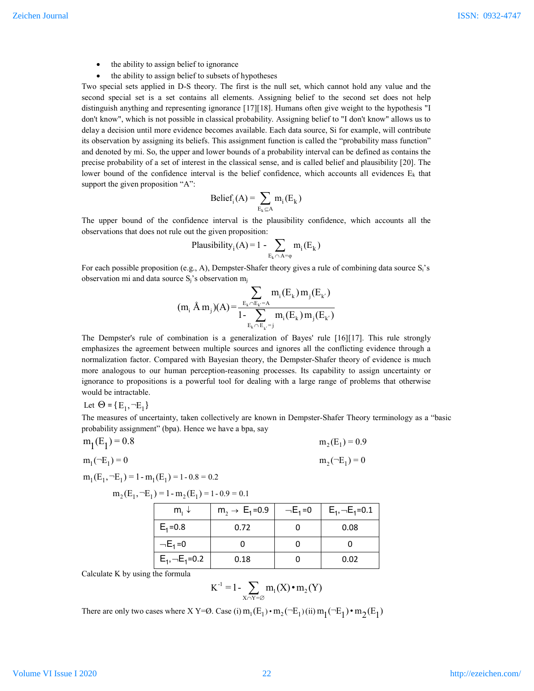- the ability to assign belief to ignorance
- the ability to assign belief to subsets of hypotheses

Two special sets applied in D-S theory. The first is the null set, which cannot hold any value and the second special set is a set contains all elements. Assigning belief to the second set does not help distinguish anything and representing ignorance [17][18]. Humans often give weight to the hypothesis "I don't know", which is not possible in classical probability. Assigning belief to "I don't know" allows us to delay a decision until more evidence becomes available. Each data source, Si for example, will contribute its observation by assigning its beliefs. This assignment function is called the "probability mass function" and denoted by mi. So, the upper and lower bounds of a probability interval can be defined as contains the precise probability of a set of interest in the classical sense, and is called belief and plausibility [20]. The lower bound of the confidence interval is the belief confidence, which accounts all evidences  $E_k$  that support the given proposition "A":

$$
Belief_i(A) = \sum_{E_k \subseteq A} m_i(E_k)
$$

The upper bound of the confidence interval is the plausibility confidence, which accounts all the observations that does not rule out the given proposition:

Plausibility<sub>i</sub>(A)=1 - 
$$
\sum_{E_k \cap A = \varphi} m_i(E_k)
$$

For each possible proposition (e.g., A), Dempster-Shafer theory gives a rule of combining data source Si's observation mi and data source  $S_i$ 's observation m<sub>i</sub>

$$
(m_i \AA m_j)(A) = \frac{\displaystyle\sum_{E_k \cap E_{k'}=A} m_i(E_k) m_j(E_{k'})}{1 - \displaystyle\sum_{E_k \cap E_{k'}=j} m_i(E_k) m_j(E_{k'})}
$$

The Dempster's rule of combination is a generalization of Bayes' rule [16][17]. This rule strongly emphasizes the agreement between multiple sources and ignores all the conflicting evidence through a normalization factor. Compared with Bayesian theory, the Dempster-Shafer theory of evidence is much more analogous to our human perception-reasoning processes. Its capability to assign uncertainty or ignorance to propositions is a powerful tool for dealing with a large range of problems that otherwise would be intractable.

Let 
$$
\Theta = \{E_1, \neg E_1\}
$$

The measures of uncertainty, taken collectively are known in Dempster-Shafer Theory terminology as a "basic probability assignment" (bpa). Hence we have a bpa, say

$$
m_1(E_1) = 0.8
$$
  
\n
$$
m_1(-E_1) = 0
$$
  
\n
$$
m_2(E_1) = 0.9
$$
  
\n
$$
m_2(-E_1) = 0
$$

$$
m_1(E_1, \neg E_1) = 1 - m_1(E_1) = 1 - 0.8 = 0.2
$$

 $m_2(E_1, \neg E_1) = 1 - m_2(E_1) = 1 - 0.9 = 0.1$ 

| $m_1 \downarrow$            | $m_2 \rightarrow E_1 = 0.9$ | $-E_1 = 0$ | $E_1 \rightarrow E_1 = 0.1$ |
|-----------------------------|-----------------------------|------------|-----------------------------|
| $E_1 = 0.8$                 | 0.72                        | 0          | 0.08                        |
| $-E_1 = 0$                  | 0                           | 0          | 0                           |
| $E_1 \rightarrow E_1 = 0.2$ | 0.18                        | 0          | 0.02                        |

Calculate K by using the formula

$$
K^{-1} = 1 - \sum_{X \cap Y = \varnothing} m_1(X) \cdot m_2(Y)
$$

There are only two cases where X Y=Ø. Case (i)  $m_1(E_1) \cdot m_2(\neg E_1)$  (ii)  $m_1(\neg E_1) \cdot m_2(E_1)$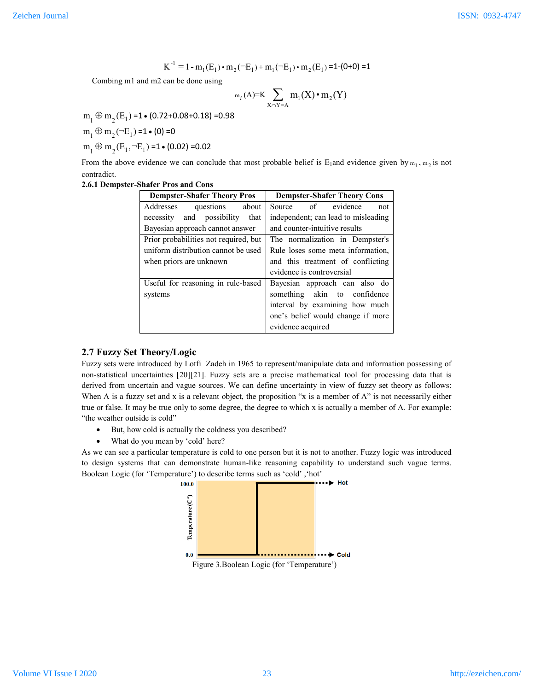$$
K^{-1} = 1 - m_1(E_1) \cdot m_2(\neg E_1) + m_1(\neg E_1) \cdot m_2(E_1) = 1 - (0 + 0) = 1
$$

Combing m1 and m2 can be done using

$$
\mathrm{m}_i(A)=K\sum_{X\cap Y=A}\mathrm{m}_1(X)\bullet\mathrm{m}_2(Y)
$$

 $m_1 \oplus m_2(E_1) = 1 \cdot (0.72 + 0.08 + 0.18) = 0.98$ 

 $m_1 \oplus m_2$  ( $\neg E_1$ ) =1  $\bullet$  (0) =0

 $m_1 \oplus m_2 (E_1, \neg E_1) = 1 \cdot (0.02) = 0.02$ 

From the above evidence we can conclude that most probable belief is  $E_1$  and evidence given by  $m_1$ ,  $m_2$  is not contradict.

#### **2.6.1 Dempster-Shafer Pros and Cons**

| <b>Dempster-Shafer Theory Pros</b>    | <b>Dempster-Shafer Theory Cons</b>  |  |  |
|---------------------------------------|-------------------------------------|--|--|
| Addresses<br>questions<br>about       | Source of evidence<br>not           |  |  |
| and possibility that<br>necessity     | independent; can lead to misleading |  |  |
| Bayesian approach cannot answer       | and counter-intuitive results       |  |  |
| Prior probabilities not required, but | The normalization in Dempster's     |  |  |
| uniform distribution cannot be used   | Rule loses some meta information.   |  |  |
| when priors are unknown               | and this treatment of conflicting   |  |  |
|                                       | evidence is controversial           |  |  |
| Useful for reasoning in rule-based    | Bayesian approach can also do       |  |  |
| systems                               | something akin to confidence        |  |  |
|                                       | interval by examining how much      |  |  |
|                                       | one's belief would change if more   |  |  |
|                                       | evidence acquired                   |  |  |

## **2.7 Fuzzy Set Theory/Logic**

Fuzzy sets were introduced by Lotfi Zadeh in 1965 to represent/manipulate data and information possessing of non-statistical uncertainties [20][21]. Fuzzy sets are a precise mathematical tool for processing data that is derived from uncertain and vague sources. We can define uncertainty in view of fuzzy set theory as follows: When A is a fuzzy set and x is a relevant object, the proposition "x is a member of A" is not necessarily either true or false. It may be true only to some degree, the degree to which x is actually a member of A. For example: "the weather outside is cold"

- But, how cold is actually the coldness you described?
- What do you mean by 'cold' here?

As we can see a particular temperature is cold to one person but it is not to another. Fuzzy logic was introduced to design systems that can demonstrate human-like reasoning capability to understand such vague terms. Boolean Logic (for 'Temperature') to describe terms such as 'cold' ,'hot'

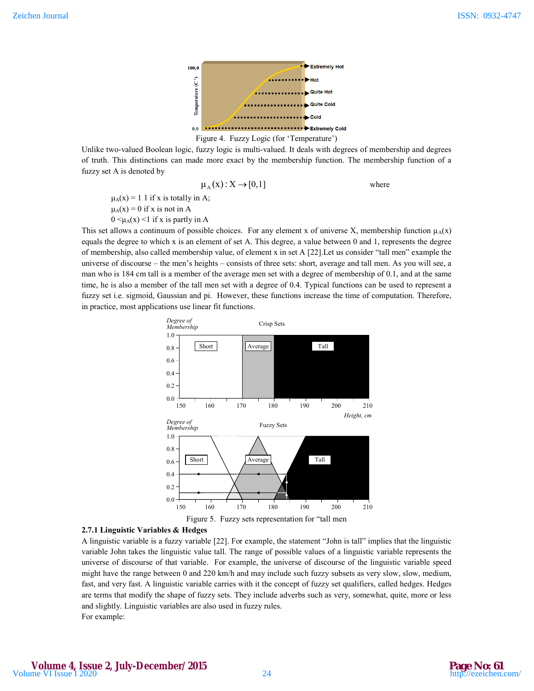

## Figure 4. Fuzzy Logic (for 'Temperature')

Unlike two-valued Boolean logic, fuzzy logic is multi-valued. It deals with degrees of membership and degrees of truth. This distinctions can made more exact by the membership function. The membership function of a fuzzy set A is denoted by

$$
\mu_A(x) : X \to [0,1]
$$
 where

 $\mu_A(x) = 1$  1 if x is totally in A;  $\mu_A(x) = 0$  if x is not in A

 $0 \leq \mu_A(x) \leq 1$  if x is partly in A

This set allows a continuum of possible choices. For any element x of universe X, membership function  $\mu_A(x)$ equals the degree to which x is an element of set A. This degree, a value between 0 and 1, represents the degree of membership, also called membership value, of element x in set A [22].Let us consider "tall men" example the universe of discourse – the men's heights – consists of three sets: short, average and tall men. As you will see, a man who is 184 cm tall is a member of the average men set with a degree of membership of 0.1, and at the same time, he is also a member of the tall men set with a degree of 0.4. Typical functions can be used to represent a fuzzy set i.e. sigmoid, Gaussian and pi. However, these functions increase the time of computation. Therefore, in practice, most applications use linear fit functions.



# **2.7.1 Linguistic Variables & Hedges**

A linguistic variable is a fuzzy variable [22]. For example, the statement "John is tall" implies that the linguistic variable John takes the linguistic value tall. The range of possible values of a linguistic variable represents the universe of discourse of that variable. For example, the universe of discourse of the linguistic variable speed might have the range between 0 and 220 km/h and may include such fuzzy subsets as very slow, slow, medium, fast, and very fast. A linguistic variable carries with it the concept of fuzzy set qualifiers, called hedges. Hedges are terms that modify the shape of fuzzy sets. They include adverbs such as very, somewhat, quite, more or less and slightly. Linguistic variables are also used in fuzzy rules. For example: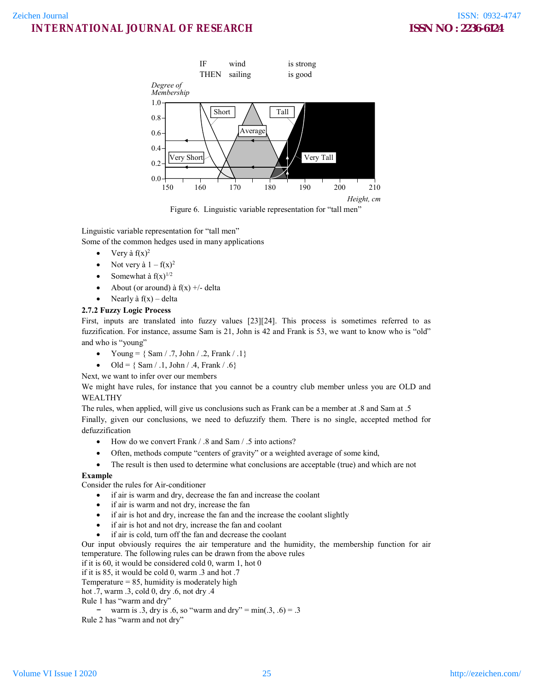

Figure 6. Linguistic variable representation for "tall men"

Linguistic variable representation for "tall men"

Some of the common hedges used in many applications

- Very à  $f(x)^2$
- Not very à  $1 f(x)^2$
- Somewhat à  $f(x)^{1/2}$
- About (or around) à  $f(x)$  +/- delta
- Nearly à  $f(x)$  delta

# **2.7.2 Fuzzy Logic Process**

First, inputs are translated into fuzzy values [23][24]. This process is sometimes referred to as fuzzification. For instance, assume Sam is 21, John is 42 and Frank is 53, we want to know who is "old" and who is "young"

- Young =  ${ Sam / .7, John / .2, Frank / .1}$
- Old =  $\{ Sam / .1, John / .4, Frank / .6\}$

Next, we want to infer over our members

We might have rules, for instance that you cannot be a country club member unless you are OLD and WEALTHY

The rules, when applied, will give us conclusions such as Frank can be a member at .8 and Sam at .5 Finally, given our conclusions, we need to defuzzify them. There is no single, accepted method for defuzzification

- How do we convert Frank / .8 and Sam / .5 into actions?
- Often, methods compute "centers of gravity" or a weighted average of some kind,
- The result is then used to determine what conclusions are acceptable (true) and which are not

## **Example**

Consider the rules for Air-conditioner

- if air is warm and dry, decrease the fan and increase the coolant
- if air is warm and not dry, increase the fan
- if air is hot and dry, increase the fan and the increase the coolant slightly
- if air is hot and not dry, increase the fan and coolant
- if air is cold, turn off the fan and decrease the coolant

Our input obviously requires the air temperature and the humidity, the membership function for air temperature. The following rules can be drawn from the above rules

if it is 60, it would be considered cold 0, warm 1, hot 0

if it is 85, it would be cold 0, warm .3 and hot .7

Temperature  $= 85$ , humidity is moderately high

hot .7, warm .3, cold 0, dry .6, not dry .4

Rule 1 has "warm and dry"

 $\frac{-1}{2}$  warm is .3, dry is .6, so "warm and dry" = min(.3, .6) = .3 Rule 2 has "warm and not dry"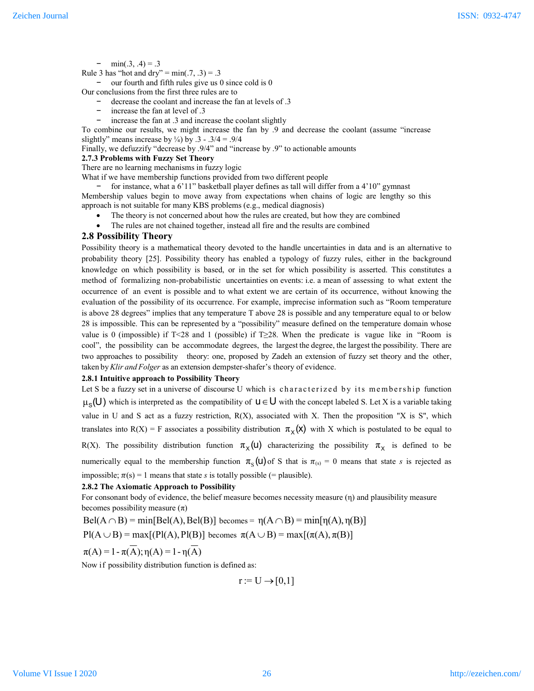$-$  min(.3, .4) = .3

Rule 3 has "hot and dry" =  $min(.7, .3) = .3$ 

our fourth and fifth rules give us  $0$  since cold is  $0$ 

Our conclusions from the first three rules are to

- decrease the coolant and increase the fan at levels of .3
- increase the fan at level of .3
- increase the fan at .3 and increase the coolant slightly

To combine our results, we might increase the fan by .9 and decrease the coolant (assume "increase slightly" means increase by  $\frac{1}{4}$ ) by .3 - .3/4 = .9/4

Finally, we defuzzify "decrease by .9/4" and "increase by .9" to actionable amounts

## **2.7.3 Problems with Fuzzy Set Theory**

There are no learning mechanisms in fuzzy logic

What if we have membership functions provided from two different people

− for instance, what a 6'11" basketball player defines as tall will differ from a 4'10" gymnast

Membership values begin to move away from expectations when chains of logic are lengthy so this approach is not suitable for many KBS problems (e.g., medical diagnosis)

- The theory is not concerned about how the rules are created, but how they are combined
- The rules are not chained together, instead all fire and the results are combined

#### **2.8 Possibility Theory**

Possibility theory is a mathematical theory devoted to the handle uncertainties in data and is an alternative to probability theory [25]. Possibility theory has enabled a typology of fuzzy rules, either in the background knowledge on which possibility is based, or in the set for which possibility is asserted. This constitutes a method of formalizing non-probabilistic uncertainties on events: i.e. a mean of assessing to what extent the occurrence of an event is possible and to what extent we are certain of its occurrence, without knowing the evaluation of the possibility of its occurrence. For example, imprecise information such as "Room temperature is above 28 degrees" implies that any temperature T above 28 is possible and any temperature equal to or below 28 is impossible. This can be represented by a "possibility" measure defined on the temperature domain whose value is 0 (impossible) if T<28 and 1 (possible) if T≥28. When the predicate is vague like in "Room is cool", the possibility can be accommodate degrees, the largest the degree, the largest the possibility. There are two approaches to possibility theory: one, proposed by Zadeh an extension of fuzzy set theory and the other, taken by*Klir and Folger* as an extension dempster-shafer's theory of evidence.

#### **2.8.1 Intuitive approach to Possibility Theory**

Let S be a fuzzy set in a universe of discourse U which is characterized by its membership function  $\mu_S(U)$  which is interpreted as the compatibility of  $U \in U$  with the concept labeled S. Let X is a variable taking value in U and S act as a fuzzy restriction,  $R(X)$ , associated with X. Then the proposition "X is S", which translates into R(X) = F associates a possibility distribution  $\pi_{\chi}(\mathsf{x})$  with X which is postulated to be equal to

R(X). The possibility distribution function  $\pi_X(u)$  characterizing the possibility  $\pi_X$  is defined to be numerically equal to the membership function  $\pi_{\mathcal{S}}(u)$  of S that is  $\pi_{(s)} = 0$  means that state *s* is rejected as impossible;  $\pi(s) = 1$  means that state *s* is totally possible (= plausible).

#### **2.8.2 The Axiomatic Approach to Possibility**

For consonant body of evidence, the belief measure becomes necessity measure (η) and plausibility measure becomes possibility measure  $(\pi)$ 

 $Bel(A \cap B) = min[Bel(A), Bel(B)]$  becomes =  $η(A \cap B) = min[η(A),η(B)]$ 

 $P(A \cup B) = max[(P(A), P(B)]$  becomes  $\pi(A \cup B) = max[(\pi(A), \pi(B))]$ 

 $\pi(A) = 1 - \pi(\overline{A}); \eta(A) = 1 - \eta(\overline{A})$ 

Now if possibility distribution function is defined as:

 $r := U \rightarrow [0,1]$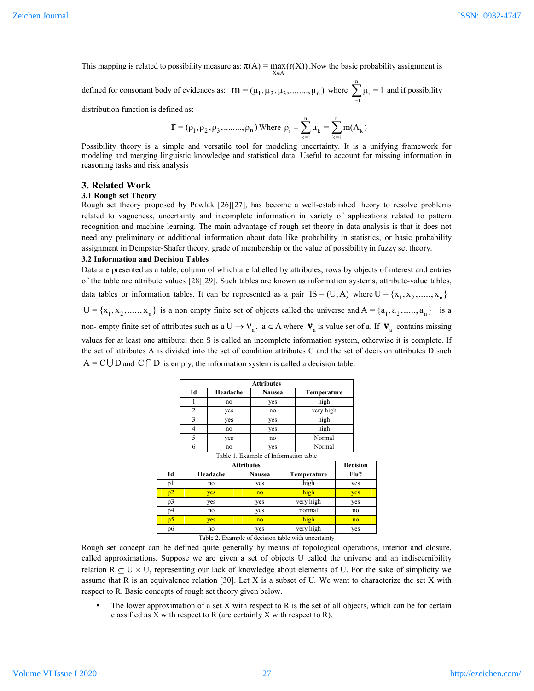This mapping is related to possibility measure as:  $\pi(A) = \max_{X \in A} (r(X))$ . Now the basic probability assignment is

defined for consonant body of evidences as:  $m = (\mu_1, \mu_2, \mu_3, \dots, \mu_n)$  where  $\sum_{n=1}^{\infty}$  $\sum_{i=1} \mu_i = 1$  and if possibility

distribution function is defined as:

$$
\mathbf{T} = (\rho_1, \rho_2, \rho_3, \dots, \rho_n)
$$
 Where  $\rho_i = \sum_{k=i}^{n} \mu_k = \sum_{k=i}^{n} m(A_k)$ 

Possibility theory is a simple and versatile tool for modeling uncertainty. It is a unifying framework for modeling and merging linguistic knowledge and statistical data. Useful to account for missing information in reasoning tasks and risk analysis

#### **3. Related Work**

## **3.1 Rough set Theory**

Rough set theory proposed by Pawlak [26][27], has become a well-established theory to resolve problems related to vagueness, uncertainty and incomplete information in variety of applications related to pattern recognition and machine learning. The main advantage of rough set theory in data analysis is that it does not need any preliminary or additional information about data like probability in statistics, or basic probability assignment in Dempster-Shafer theory, grade of membership or the value of possibility in fuzzy set theory.

#### **3.2 Information and Decision Tables**

Data are presented as a table, column of which are labelled by attributes, rows by objects of interest and entries of the table are attribute values [28][29]. Such tables are known as information systems, attribute-value tables,

data tables or information tables. It can be represented as a pair IS = (U, A) where  $U = \{x_1, x_2, \ldots, x_n\}$ 

 $U = \{x_1, x_2, \dots, x_n\}$  is a non empty finite set of objects called the universe and  $A = \{a_1, a_2, \dots, a_n\}$  is a

non- empty finite set of attributes such as a  $U \to V_a$ .  $a \in A$  where  $V_a$  is value set of a. If  $V_a$  contains missing values for at least one attribute, then S is called an incomplete information system, otherwise it is complete. If the set of attributes A is divided into the set of condition attributes C and the set of decision attributes D such  $A = C \cup D$  and  $C \cap D$  is empty, the information system is called a decision table.

|    | <b>Attributes</b> |                                       |             |  |  |  |
|----|-------------------|---------------------------------------|-------------|--|--|--|
| Id | Headache          | <b>Nausea</b>                         | Temperature |  |  |  |
|    | no                | yes                                   | high        |  |  |  |
| 2  | yes               | no                                    | very high   |  |  |  |
| 3  | yes               | yes                                   | high        |  |  |  |
| 4  | no                | yes                                   | high        |  |  |  |
| 5  | yes               | no                                    | Normal      |  |  |  |
| 6  | no                | yes                                   | Normal      |  |  |  |
|    |                   | Table 1. Example of Information table |             |  |  |  |

| <b>Attributes</b> |          |               |             | <b>Decision</b> |
|-------------------|----------|---------------|-------------|-----------------|
| Id                | Headache | <b>Nausea</b> | Temperature |                 |
| υl                | no       | yes           | high        | yes             |
| p2                | yes      | no            | high        | yes             |
| p3                | yes      | yes           | very high   | yes             |
| p4                | no       | yes           | normal      | no              |
| p5                | yes      | no            | high        | no              |
| p6                | no       | yes           | very high   | yes             |

Table 2. Example of decision table with uncertainty

Rough set concept can be defined quite generally by means of topological operations, interior and closure, called approximations. Suppose we are given a set of objects U called the universe and an indiscernibility relation  $R \subseteq U \times U$ , representing our lack of knowledge about elements of U. For the sake of simplicity we assume that R is an equivalence relation [30]. Let X is a subset of U*.* We want to characterize the set X with respect to R. Basic concepts of rough set theory given below.

 $\blacksquare$  The lower approximation of a set X with respect to R is the set of all objects, which can be for certain classified as X with respect to R (are certainly X with respect to R).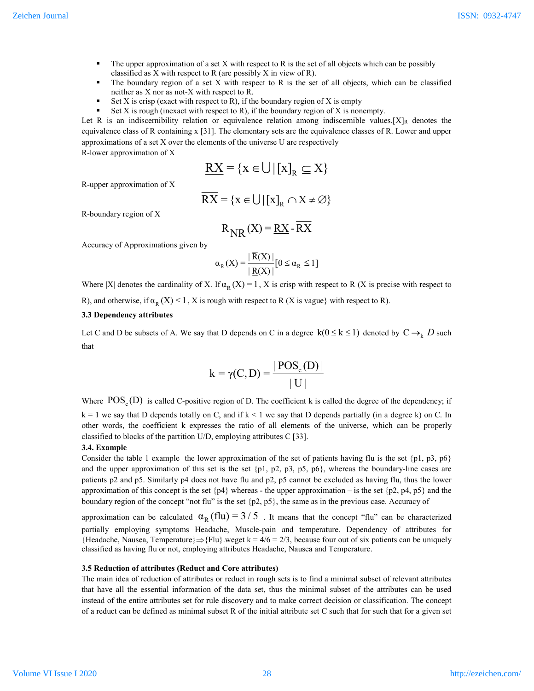- $\blacksquare$  The upper approximation of a set X with respect to R is the set of all objects which can be possibly classified as X with respect to R (are possibly X in view of R).
- $\blacksquare$  The boundary region of a set X with respect to R is the set of all objects, which can be classified neither as X nor as not-X with respect to R.
- Set X is crisp (exact with respect to R), if the boundary region of X is empty
- Set  $X$  is rough (inexact with respect to R), if the boundary region of  $X$  is nonempty.

Let R is an indiscernibility relation or equivalence relation among indiscernible values. [X]<sub>R</sub> denotes the equivalence class of R containing x [31]. The elementary sets are the equivalence classes of R. Lower and upper approximations of a set X over the elements of the universe U are respectively R-lower approximation of X

 $RX = \{x \in \bigcup |[x]_{p} \subseteq X\}$ 

R-upper approximation of X

$$
\overline{RX} = \{x \in \bigcup |[x]_R \cap X \neq \emptyset\}
$$

R-boundary region of X

$$
R_{NR}(X) = \underline{RX} - \overline{RX}
$$

Accuracy of Approximations given by

$$
\alpha_{R}(X) = \frac{|\overline{R}(X)|}{|\underline{R}(X)|} [0 \le \alpha_{R} \le 1]
$$

Where |X| denotes the cardinality of X. If  $\alpha_R(X) = 1$ , X is crisp with respect to R (X is precise with respect to

R), and otherwise, if  $\alpha_R(X) \leq 1$ , X is rough with respect to R (X is vague) with respect to R).

### **3.3 Dependency attributes**

Let C and D be subsets of A. We say that D depends on C in a degree  $k(0 \le k \le 1)$  denoted by  $C \rightarrow_k D$  such that

$$
k = \gamma(C, D) = \frac{|POS_{c}(D)|}{|U|}
$$

Where  $POS_{\alpha}(D)$  is called C-positive region of D. The coefficient k is called the degree of the dependency; if  $k = 1$  we say that D depends totally on C, and if  $k < 1$  we say that D depends partially (in a degree k) on C. In other words, the coefficient k expresses the ratio of all elements of the universe, which can be properly classified to blocks of the partition U/D, employing attributes C [33].

### **3.4. Example**

Consider the table 1 example the lower approximation of the set of patients having flu is the set  $\{p1, p3, p6\}$ and the upper approximation of this set is the set  $\{p1, p2, p3, p5, p6\}$ , whereas the boundary-line cases are patients p2 and p5. Similarly p4 does not have flu and p2, p5 cannot be excluded as having flu, thus the lower approximation of this concept is the set  ${p4}$  whereas - the upper approximation – is the set  ${p2, p4, p5}$  and the boundary region of the concept "not flu" is the set {p2, p5}, the same as in the previous case. Accuracy of

approximation can be calculated  $\alpha_R$  (flu) = 3/5. It means that the concept "flu" can be characterized partially employing symptoms Headache, Muscle-pain and temperature. Dependency of attributes for {Headache, Nausea, Temperature} $\Rightarrow$ {Flu}.weget k = 4/6 = 2/3, because four out of six patients can be uniquely classified as having flu or not, employing attributes Headache, Nausea and Temperature.

#### **3.5 Reduction of attributes (Reduct and Core attributes)**

The main idea of reduction of attributes or reduct in rough sets is to find a minimal subset of relevant attributes that have all the essential information of the data set, thus the minimal subset of the attributes can be used instead of the entire attributes set for rule discovery and to make correct decision or classification. The concept of a reduct can be defined as minimal subset R of the initial attribute set C such that for such that for a given set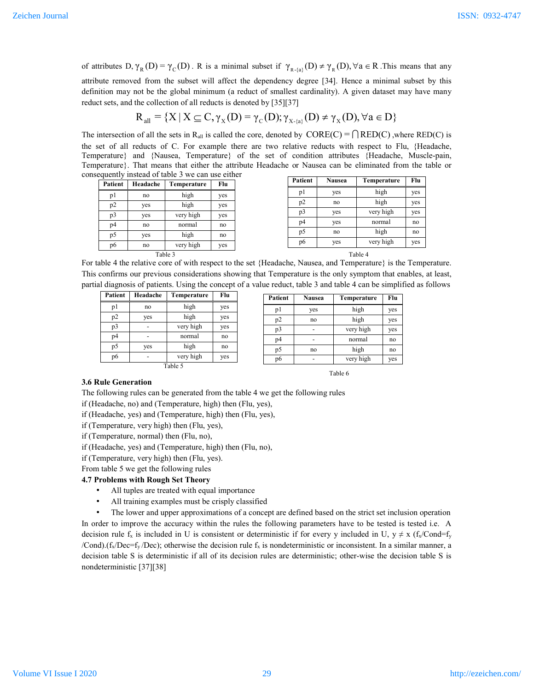of attributes D,  $\gamma_R(D) = \gamma_C(D)$ . R is a minimal subset if  $\gamma_{R-\{a\}}(D) \neq \gamma_R(D)$ ,  $\forall a \in R$ . This means that any attribute removed from the subset will affect the dependency degree [34]. Hence a minimal subset by this definition may not be the global minimum (a reduct of smallest cardinality). A given dataset may have many reduct sets, and the collection of all reducts is denoted by [35][37]

$$
R_{\text{all}}\equiv \{X\,|\, X\subseteq C, \gamma_{\scriptscriptstyle X}(D)\!=\!\gamma_{\scriptscriptstyle C}(D); \gamma_{\scriptscriptstyle X\text{-}\{a\}}(D)\!\neq\gamma_{\scriptscriptstyle X}(D), \forall a\in D\}
$$

The intersection of all the sets in R<sub>all</sub> is called the core, denoted by  $\text{CORE}(C) = \bigcap \text{RED}(C)$ , where RED(C) is the set of all reducts of C. For example there are two relative reducts with respect to Flu, {Headache, Temperature} and {Nausea, Temperature} of the set of condition attributes {Headache, Muscle-pain, Temperature}. That means that either the attribute Headache or Nausea can be eliminated from the table or consequently instead of table 3 we can use either

| Patient | Headache | Temperature | Flu |
|---------|----------|-------------|-----|
|         |          |             |     |
| pl      | no       | high        | yes |
| p2      | yes      | high        | yes |
| p3      | yes      | very high   | yes |
| p4      | no       | normal      | no  |
| p5      | yes      | high        | no  |
|         |          |             |     |
| p6      | no       | very high   | yes |
|         |          | Table 3     |     |

| Patient | <b>Nausea</b> | Temperature | Flu |
|---------|---------------|-------------|-----|
| p1      | yes           | high        | yes |
| p2      | no            | high        | yes |
| p3      | yes           | very high   | yes |
| p4      | yes           | normal      | no  |
| p5      | no            | high        | no  |
| p6      | yes           | very high   | yes |

For table 4 the relative core of with respect to the set {Headache, Nausea, and Temperature} is the Temperature. This confirms our previous considerations showing that Temperature is the only symptom that enables, at least, partial diagnosis of patients. Using the concept of a value reduct, table 3 and table 4 can be simplified as follows

| Patient | Headache | Temperature | Flu |
|---------|----------|-------------|-----|
| p1      | no       | high        | yes |
| p2      | yes      | high        |     |
| p3      |          | very high   | yes |
| p4      |          | normal      | no  |
| p5      | yes      | high        | no  |
| p6      |          | very high   | yes |
|         |          | Table 5     |     |

| Patient | <b>Nausea</b> | Temperature | Flu |
|---------|---------------|-------------|-----|
| p1      | yes           | high        | yes |
| p2      | high<br>no    |             | yes |
| p3      |               | very high   | yes |
| p4      |               | normal      | no  |
| p5      | no            | high        | no  |
| p6      |               | very high   | yes |

## **3.6 Rule Generation**

The following rules can be generated from the table 4 we get the following rules

Table 6

if (Headache, no) and (Temperature, high) then (Flu, yes),

if (Headache, yes) and (Temperature, high) then (Flu, yes),

if (Temperature, very high) then (Flu, yes),

if (Temperature, normal) then (Flu, no),

if (Headache, yes) and (Temperature, high) then (Flu, no),

if (Temperature, very high) then (Flu, yes).

From table 5 we get the following rules

### **4.7 Problems with Rough Set Theory**

- All tuples are treated with equal importance
- All training examples must be crisply classified

The lower and upper approximations of a concept are defined based on the strict set inclusion operation In order to improve the accuracy within the rules the following parameters have to be tested is tested i.e. A decision rule  $f_x$  is included in U is consistent or deterministic if for every y included in U,  $y \neq x$  ( $f_x/Cond=f_y$ /Cond).( $f_x/Dec = f_y/Dec$ ); otherwise the decision rule  $f_x$  is nondeterministic or inconsistent. In a similar manner, a decision table S is deterministic if all of its decision rules are deterministic; other-wise the decision table S is nondeterministic [37][38]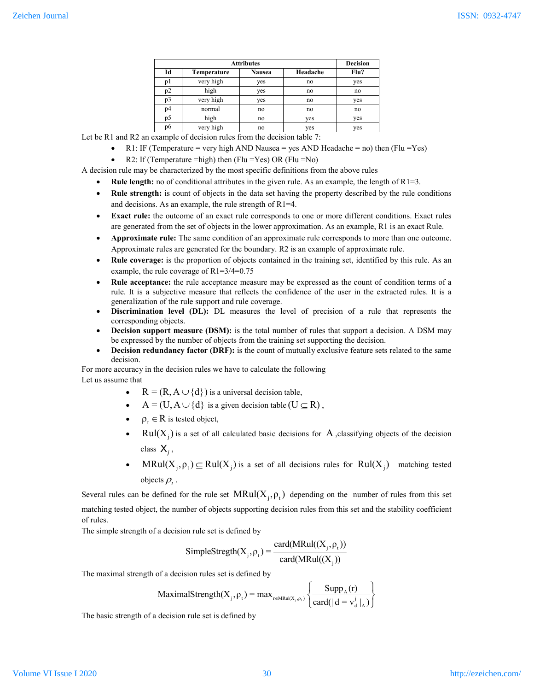| <b>Attributes</b> |             |               |          | <b>Decision</b> |
|-------------------|-------------|---------------|----------|-----------------|
| Id                | Temperature | <b>Nausea</b> | Headache | Flu?            |
| pl                | very high   | yes           | no       | yes             |
| p2                | high        | yes           | no       | no              |
| p3                | very high   | yes           | no       | yes             |
| p4                | normal      | no            | no       | no              |
| p5                | high        | no            | yes      | yes             |
| p6                | very high   | no            | yes      | yes             |

Let be R1 and R2 an example of decision rules from the decision table 7:

- R1: IF (Temperature = very high AND Nausea = yes AND Headache = no) then (Flu = Yes)
- R2: If (Temperature =high) then (Flu =Yes) OR (Flu =No)

A decision rule may be characterized by the most specific definitions from the above rules

- **Rule length:** no of conditional attributes in the given rule. As an example, the length of R1=3.
- **Rule strength:** is count of objects in the data set having the property described by the rule conditions and decisions. As an example, the rule strength of R1=4.
- **Exact rule:** the outcome of an exact rule corresponds to one or more different conditions. Exact rules are generated from the set of objects in the lower approximation. As an example, R1 is an exact Rule.
- **Approximate rule:** The same condition of an approximate rule corresponds to more than one outcome. Approximate rules are generated for the boundary. R2 is an example of approximate rule.
- **Rule coverage:** is the proportion of objects contained in the training set, identified by this rule. As an example, the rule coverage of R1=3/4=0.75
- **Rule acceptance:** the rule acceptance measure may be expressed as the count of condition terms of a rule. It is a subjective measure that reflects the confidence of the user in the extracted rules. It is a generalization of the rule support and rule coverage.
- **Discrimination level (DL):** DL measures the level of precision of a rule that represents the corresponding objects.
- **Decision support measure (DSM):** is the total number of rules that support a decision. A DSM may be expressed by the number of objects from the training set supporting the decision.
- Decision redundancy factor (DRF): is the count of mutually exclusive feature sets related to the same decision.

For more accuracy in the decision rules we have to calculate the following Let us assume that

- $R = (R, A \cup \{d\})$  is a universal decision table,
- $A = (U, A \cup \{d\})$  is a given decision table  $(U \subseteq R)$ ,
- $\cdot \quad \rho_{\cdot} \in \mathbb{R}$  is tested object,
- Rul $(X_i)$  is a set of all calculated basic decisions for A ,classifying objects of the decision class  $X_i$ ,
- MRul $(X_i, \rho_i) \subseteq \text{Rul}(X_i)$  is a set of all decisions rules for  $\text{Rul}(X_i)$  matching tested objects  $\rho_t$ .

Several rules can be defined for the rule set  $MRul(X_i, \rho_i)$  depending on the number of rules from this set matching tested object, the number of objects supporting decision rules from this set and the stability coefficient of rules.

The simple strength of a decision rule set is defined by

SimpleStregth
$$
(X_j, \rho_t)
$$
 =  $\frac{card(MRul((X_j, \rho_t))}{card(MRul((X_j))}$ 

The maximal strength of a decision rules set is defined by

$$
\text{MaximalStrength}(X_{j}, \rho_{t}) = \max_{r \in MRul(X_{j}, \rho_{t})} \left\{ \frac{\text{Supp}_{A}(r)}{\text{card}(|d = v_{d}^{j}|_{A})} \right\}
$$

The basic strength of a decision rule set is defined by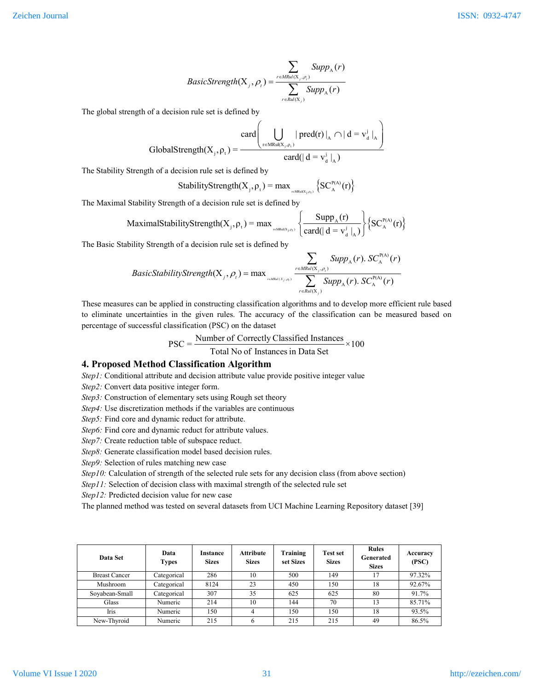$$
BasicStrongth(Xj, \rhot) = \frac{\sum_{r \in MRul(Xj, \rhot)} SuppA(r)}{\sum_{r \in Rul(Xj)} SuppA(r)}
$$

The global strength of a decision rule set is defined by

$$
GlobalStrongth(Xj, \rhot) = \frac{card \left(\bigcup_{r \in MRI(Xj, \rhot)} | pred(r) |_{A} \cap | d = vdj |_{A}\right)}{card(| d = vdj |_{A})}
$$

The Stability Strength of a decision rule set is defined by

StabilityStrongth
$$
(X_j, \rho_t)
$$
 = max<sub>refMöd(X<sub>j,\rho\_t</sub>)</sub>  $\{SC_A^{P(A)}(r)\}$ 

The Maximal Stability Strength of a decision rule set is defined by

$$
MaximalStabilityStrongth(Xj, \rhot) = max \bigg\{ \frac{SuppA(r)}{card(|d = vdj|A)} \bigg\} \{ SCAP(A)(r) \}
$$

The Basic Stability Strength of a decision rule set is defined by

$$
BasicStability Strength(Xj, \rhot) = max \sum_{\text{relReLU}(Xj, \rhot)} SuppA(r). SCAP(A)(r)
$$

$$
S CAP(A)(r)
$$

$$
= \sum_{\text{relReLU}(Xj, \rhot)} SuppA(r). SCAP(A)(r)
$$

These measures can be applied in constructing classification algorithms and to develop more efficient rule based to eliminate uncertainties in the given rules. The accuracy of the classification can be measured based on percentage of successful classification (PSC) on the dataset

$$
PSC = \frac{Number of Correctly Classical instances}{Total No of instances in Data Set} \times 100
$$

## **4. Proposed Method Classification Algorithm**

*Step1*: Conditional attribute and decision attribute value provide positive integer value

*Step2:* Convert data positive integer form.

*Step3:* Construction of elementary sets using Rough set theory

*Step4:* Use discretization methods if the variables are continuous

*Step5:* Find core and dynamic reduct for attribute.

*Step6:* Find core and dynamic reduct for attribute values.

*Step7:* Create reduction table of subspace reduct.

*Step8:* Generate classification model based decision rules.

*Step9:* Selection of rules matching new case

*Step10:* Calculation of strength of the selected rule sets for any decision class (from above section)

*Step11:* Selection of decision class with maximal strength of the selected rule set

*Step12:* Predicted decision value for new case

The planned method was tested on several datasets from UCI Machine Learning Repository dataset [39]

| Data Set             | Data<br><b>Types</b> | Instance<br><b>Sizes</b> | <b>Attribute</b><br><b>Sizes</b> | Training<br>set Sizes | <b>Test set</b><br><b>Sizes</b> | <b>Rules</b><br>Generated<br><b>Sizes</b> | Accuracy<br>(PSC) |
|----------------------|----------------------|--------------------------|----------------------------------|-----------------------|---------------------------------|-------------------------------------------|-------------------|
| <b>Breast Cancer</b> | Categorical          | 286                      | 10                               | 500                   | 149                             |                                           | 97.32%            |
| Mushroom             | Categorical          | 8124                     | 23                               | 450                   | 150                             | 18                                        | 92.67%            |
| Soyabean-Small       | Categorical          | 307                      | 35                               | 625                   | 625                             | 80                                        | 91.7%             |
| Glass                | Numeric              | 214                      | 10                               | 144                   | 70                              | 13                                        | 85.71%            |
| Iris                 | Numeric              | 150                      | 4                                | 150                   | 150                             | 18                                        | 93.5%             |
| New-Thyroid          | Numeric              | 215                      | 6                                | 215                   | 215                             | 49                                        | 86.5%             |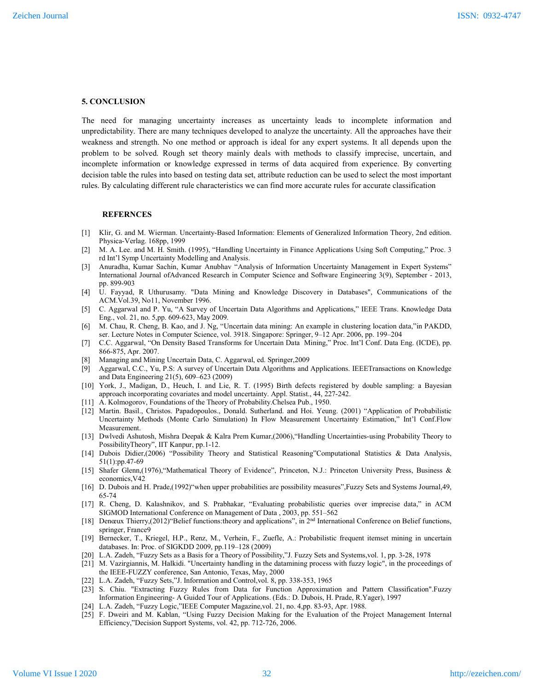#### **5. CONCLUSION**

The need for managing uncertainty increases as uncertainty leads to incomplete information and unpredictability. There are many techniques developed to analyze the uncertainty. All the approaches have their weakness and strength. No one method or approach is ideal for any expert systems. It all depends upon the problem to be solved. Rough set theory mainly deals with methods to classify imprecise, uncertain, and incomplete information or knowledge expressed in terms of data acquired from experience. By converting decision table the rules into based on testing data set, attribute reduction can be used to select the most important rules. By calculating different rule characteristics we can find more accurate rules for accurate classification

#### **REFERNCES**

- [1] Klir, G. and M. Wierman. Uncertainty-Based Information: Elements of Generalized Information Theory, 2nd edition. Physica-Verlag. 168pp, 1999
- [2] M. A. Lee. and M. H. Smith. (1995), "Handling Uncertainty in Finance Applications Using Soft Computing," Proc. 3 rd Int'l Symp Uncertainty Modelling and Analysis.
- [3] Anuradha, Kumar Sachin, Kumar Anubhav "Analysis of Information Uncertainty Management in Expert Systems" International Journal ofAdvanced Research in Computer Science and Software Engineering 3(9), September - 2013, pp. 899-903
- [4] U. Fayyad, R Uthurusamy. "Data Mining and Knowledge Discovery in Databases", Communications of the ACM.Vol.39, No11, November 1996.
- [5] C. Aggarwal and P. Yu, "A Survey of Uncertain Data Algorithms and Applications," IEEE Trans. Knowledge Data Eng., vol. 21, no. 5,pp. 609-623, May 2009.
- [6] M. Chau, R. Cheng, B. Kao, and J. Ng, "Uncertain data mining: An example in clustering location data,"in PAKDD, ser. Lecture Notes in Computer Science, vol. 3918. Singapore: Springer, 9–12 Apr. 2006, pp. 199–204
- [7] C.C. Aggarwal, "On Density Based Transforms for Uncertain Data Mining," Proc. Int'l Conf. Data Eng. (ICDE), pp. 866-875, Apr. 2007.
- [8] Managing and Mining Uncertain Data, C. Aggarwal, ed. Springer,2009
- [9] Aggarwal, C.C., Yu, P.S: A survey of Uncertain Data Algorithms and Applications. IEEETransactions on Knowledge and Data Engineering 21(5), 609–623 (2009)
- [10] York, J., Madigan, D., Heuch, I. and Lie, R. T. (1995) Birth defects registered by double sampling: a Bayesian approach incorporating covariates and model uncertainty. Appl. Statist., 44, 227-242.
- [11] A. Kolmogorov, Foundations of the Theory of Probability.Chelsea Pub., 1950.
- [12] Martin. Basil., Christos. Papadopoulos., Donald. Sutherland. and Hoi. Yeung. (2001) "Application of Probabilistic Uncertainty Methods (Monte Carlo Simulation) In Flow Measurement Uncertainty Estimation," Int'l Conf.Flow Measurement.
- [13] Dwlvedi Ashutosh, Mishra Deepak & Kalra Prem Kumar,(2006),"Handling Uncertainties-using Probability Theory to PossibilityTheory", IIT Kanpur, pp.1-12.
- [14] Dubois Didier,(2006) "Possibility Theory and Statistical Reasoning"Computational Statistics & Data Analysis, 51(1):pp.47-69
- [15] Shafer Glenn,(1976),"Mathematical Theory of Evidence", Princeton, N.J.: Princeton University Press, Business & economics,V42
- [16] D. Dubois and H. Prade,(1992)"when upper probabilities are possibility measures",Fuzzy Sets and Systems Journal,49, 65-74
- [17] R. Cheng, D. Kalashnikov, and S. Prabhakar, "Evaluating probabilistic queries over imprecise data," in ACM SIGMOD International Conference on Management of Data , 2003, pp. 551–562
- [18] Denœux Thierry,(2012)"Belief functions: theory and applications", in 2<sup>nd</sup> International Conference on Belief functions, springer, France9
- [19] Bernecker, T., Kriegel, H.P., Renz, M., Verhein, F., Zuefle, A.: Probabilistic frequent itemset mining in uncertain databases. In: Proc. of SIGKDD 2009, pp.119–128 (2009)
- [20] L.A. Zadeh, "Fuzzy Sets as a Basis for a Theory of Possibility,"J. Fuzzy Sets and Systems,vol. 1, pp. 3-28, 1978
- [21] M. Vazirgiannis, M. Halkidi. "Uncertainty handling in the datamining process with fuzzy logic", in the proceedings of the IEEE-FUZZY conference, San Antonio, Texas, May, 2000
- [22] L.A. Zadeh, "Fuzzy Sets,"J. Information and Control, vol. 8, pp. 338-353, 1965
- [23] S. Chiu. "Extracting Fuzzy Rules from Data for Function Approximation and Pattern Classification".Fuzzy Information Engineering- A Guided Tour of Applications. (Eds.: D. Dubois, H. Prade, R.Yager), 1997
- [24] L.A. Zadeh, "Fuzzy Logic,"IEEE Computer Magazine,vol. 21, no. 4,pp. 83-93, Apr. 1988.
- [25] F. Dweiri and M. Kablan, "Using Fuzzy Decision Making for the Evaluation of the Project Management Internal Efficiency,"Decision Support Systems, vol. 42, pp. 712-726, 2006.